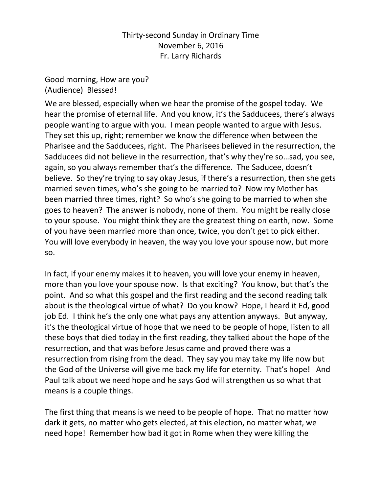## Thirty-second Sunday in Ordinary Time November 6, 2016 Fr. Larry Richards

Good morning, How are you? (Audience) Blessed!

We are blessed, especially when we hear the promise of the gospel today. We hear the promise of eternal life. And you know, it's the Sadducees, there's always people wanting to argue with you. I mean people wanted to argue with Jesus. They set this up, right; remember we know the difference when between the Pharisee and the Sadducees, right. The Pharisees believed in the resurrection, the Sadducees did not believe in the resurrection, that's why they're so…sad, you see, again, so you always remember that's the difference. The Saducee, doesn't believe. So they're trying to say okay Jesus, if there's a resurrection, then she gets married seven times, who's she going to be married to? Now my Mother has been married three times, right? So who's she going to be married to when she goes to heaven? The answer is nobody, none of them. You might be really close to your spouse. You might think they are the greatest thing on earth, now. Some of you have been married more than once, twice, you don't get to pick either. You will love everybody in heaven, the way you love your spouse now, but more so.

In fact, if your enemy makes it to heaven, you will love your enemy in heaven, more than you love your spouse now. Is that exciting? You know, but that's the point. And so what this gospel and the first reading and the second reading talk about is the theological virtue of what? Do you know? Hope, I heard it Ed, good job Ed. I think he's the only one what pays any attention anyways. But anyway, it's the theological virtue of hope that we need to be people of hope, listen to all these boys that died today in the first reading, they talked about the hope of the resurrection, and that was before Jesus came and proved there was a resurrection from rising from the dead. They say you may take my life now but the God of the Universe will give me back my life for eternity. That's hope! And Paul talk about we need hope and he says God will strengthen us so what that means is a couple things.

The first thing that means is we need to be people of hope. That no matter how dark it gets, no matter who gets elected, at this election, no matter what, we need hope! Remember how bad it got in Rome when they were killing the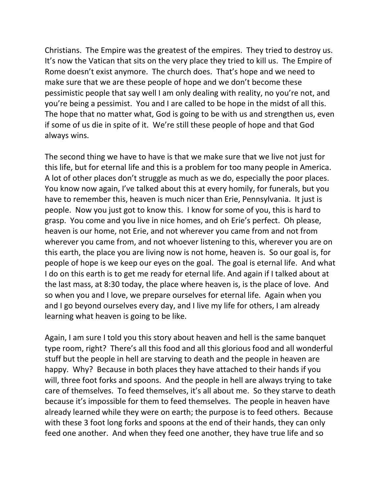Christians. The Empire was the greatest of the empires. They tried to destroy us. It's now the Vatican that sits on the very place they tried to kill us. The Empire of Rome doesn't exist anymore. The church does. That's hope and we need to make sure that we are these people of hope and we don't become these pessimistic people that say well I am only dealing with reality, no you're not, and you're being a pessimist. You and I are called to be hope in the midst of all this. The hope that no matter what, God is going to be with us and strengthen us, even if some of us die in spite of it. We're still these people of hope and that God always wins.

The second thing we have to have is that we make sure that we live not just for this life, but for eternal life and this is a problem for too many people in America. A lot of other places don't struggle as much as we do, especially the poor places. You know now again, I've talked about this at every homily, for funerals, but you have to remember this, heaven is much nicer than Erie, Pennsylvania. It just is people. Now you just got to know this. I know for some of you, this is hard to grasp. You come and you live in nice homes, and oh Erie's perfect. Oh please, heaven is our home, not Erie, and not wherever you came from and not from wherever you came from, and not whoever listening to this, wherever you are on this earth, the place you are living now is not home, heaven is. So our goal is, for people of hope is we keep our eyes on the goal. The goal is eternal life. And what I do on this earth is to get me ready for eternal life. And again if I talked about at the last mass, at 8:30 today, the place where heaven is, is the place of love. And so when you and I love, we prepare ourselves for eternal life. Again when you and I go beyond ourselves every day, and I live my life for others, I am already learning what heaven is going to be like.

Again, I am sure I told you this story about heaven and hell is the same banquet type room, right? There's all this food and all this glorious food and all wonderful stuff but the people in hell are starving to death and the people in heaven are happy. Why? Because in both places they have attached to their hands if you will, three foot forks and spoons. And the people in hell are always trying to take care of themselves. To feed themselves, it's all about me. So they starve to death because it's impossible for them to feed themselves. The people in heaven have already learned while they were on earth; the purpose is to feed others. Because with these 3 foot long forks and spoons at the end of their hands, they can only feed one another. And when they feed one another, they have true life and so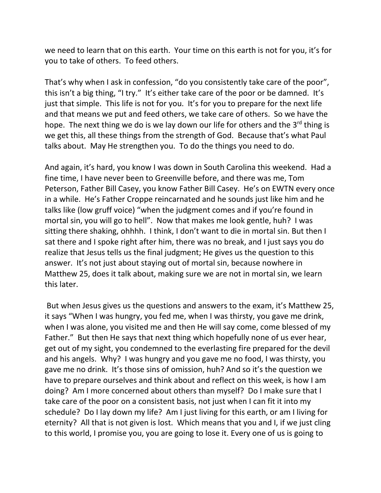we need to learn that on this earth. Your time on this earth is not for you, it's for you to take of others. To feed others.

That's why when I ask in confession, "do you consistently take care of the poor", this isn't a big thing, "I try." It's either take care of the poor or be damned. It's just that simple. This life is not for you. It's for you to prepare for the next life and that means we put and feed others, we take care of others. So we have the hope. The next thing we do is we lay down our life for others and the 3<sup>rd</sup> thing is we get this, all these things from the strength of God. Because that's what Paul talks about. May He strengthen you. To do the things you need to do.

And again, it's hard, you know I was down in South Carolina this weekend. Had a fine time, I have never been to Greenville before, and there was me, Tom Peterson, Father Bill Casey, you know Father Bill Casey. He's on EWTN every once in a while. He's Father Croppe reincarnated and he sounds just like him and he talks like (low gruff voice) "when the judgment comes and if you're found in mortal sin, you will go to hell". Now that makes me look gentle, huh? I was sitting there shaking, ohhhh. I think, I don't want to die in mortal sin. But then I sat there and I spoke right after him, there was no break, and I just says you do realize that Jesus tells us the final judgment; He gives us the question to this answer. It's not just about staying out of mortal sin, because nowhere in Matthew 25, does it talk about, making sure we are not in mortal sin, we learn this later.

But when Jesus gives us the questions and answers to the exam, it's Matthew 25, it says "When I was hungry, you fed me, when I was thirsty, you gave me drink, when I was alone, you visited me and then He will say come, come blessed of my Father." But then He says that next thing which hopefully none of us ever hear, get out of my sight, you condemned to the everlasting fire prepared for the devil and his angels. Why? I was hungry and you gave me no food, I was thirsty, you gave me no drink. It's those sins of omission, huh? And so it's the question we have to prepare ourselves and think about and reflect on this week, is how I am doing? Am I more concerned about others than myself? Do I make sure that I take care of the poor on a consistent basis, not just when I can fit it into my schedule? Do I lay down my life? Am I just living for this earth, or am I living for eternity? All that is not given is lost. Which means that you and I, if we just cling to this world, I promise you, you are going to lose it. Every one of us is going to